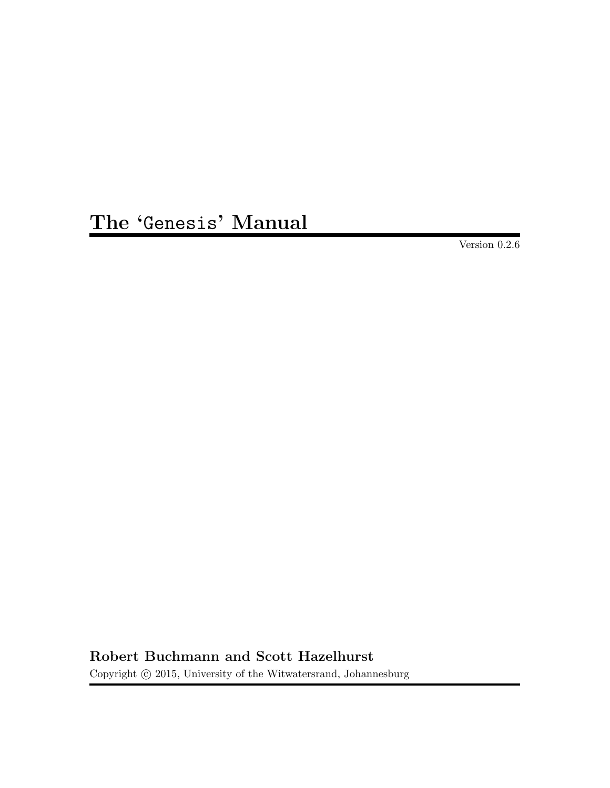# The 'Genesis' Manual

Version 0.2.6

Robert Buchmann and Scott Hazelhurst

Copyright  $\odot$  2015, University of the Witwatersrand, Johannesburg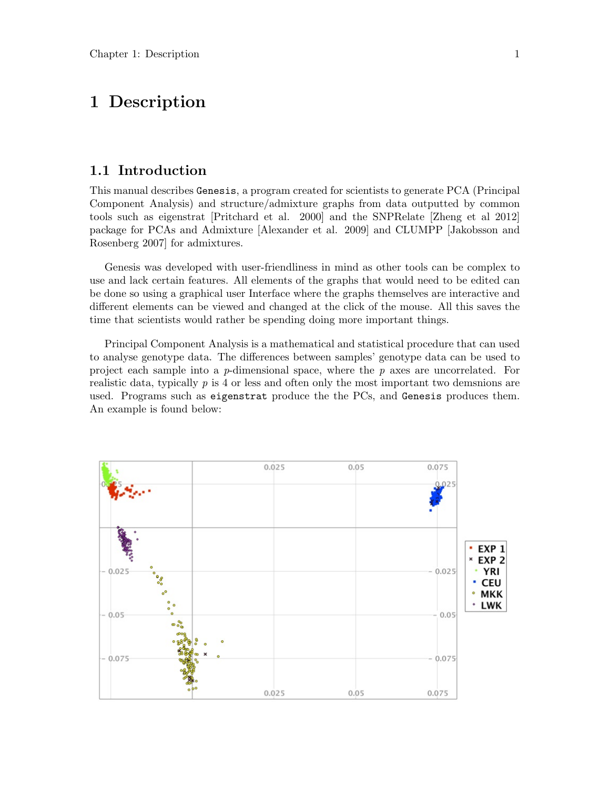## 1 Description

#### 1.1 Introduction

This manual describes Genesis, a program created for scientists to generate PCA (Principal Component Analysis) and structure/admixture graphs from data outputted by common tools such as eigenstrat [Pritchard et al. 2000] and the SNPRelate [Zheng et al 2012] package for PCAs and Admixture [Alexander et al. 2009] and CLUMPP [Jakobsson and Rosenberg 2007] for admixtures.

Genesis was developed with user-friendliness in mind as other tools can be complex to use and lack certain features. All elements of the graphs that would need to be edited can be done so using a graphical user Interface where the graphs themselves are interactive and different elements can be viewed and changed at the click of the mouse. All this saves the time that scientists would rather be spending doing more important things.

Principal Component Analysis is a mathematical and statistical procedure that can used to analyse genotype data. The differences between samples' genotype data can be used to project each sample into a  $p$ -dimensional space, where the  $p$  axes are uncorrelated. For realistic data, typically  $p$  is 4 or less and often only the most important two demsnions are used. Programs such as eigenstrat produce the the PCs, and Genesis produces them. An example is found below:

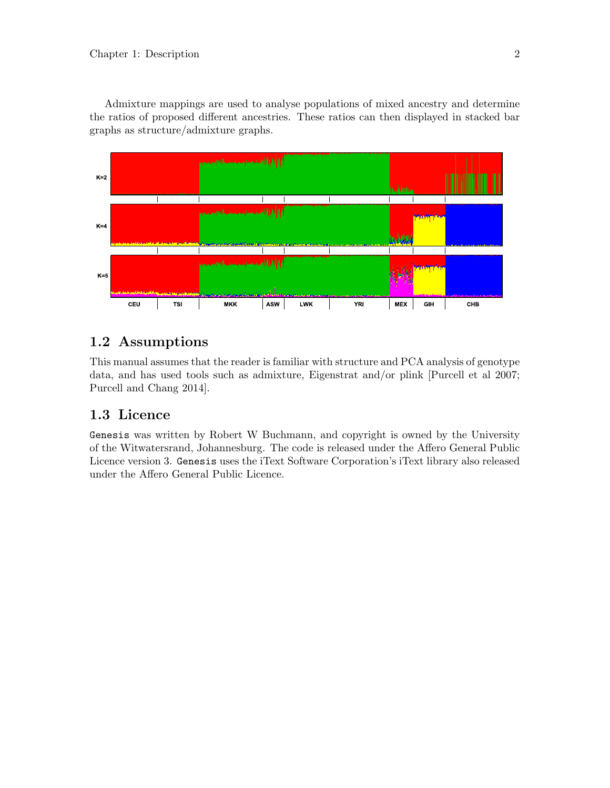Admixture mappings are used to analyse populations of mixed ancestry and determine the ratios of proposed different ancestries. These ratios can then displayed in stacked bar graphs as structure/admixture graphs.



### 1.2 Assumptions

This manual assumes that the reader is familiar with structure and PCA analysis of genotype data, and has used tools such as admixture, Eigenstrat and/or plink [Purcell et al 2007; Purcell and Chang 2014].

## 1.3 Licence

Genesis was written by Robert W Buchmann, and copyright is owned by the University of the Witwatersrand, Johannesburg. The code is released under the Affero General Public Licence version 3. Genesis uses the iText Software Corporation's iText library also released under the Affero General Public Licence.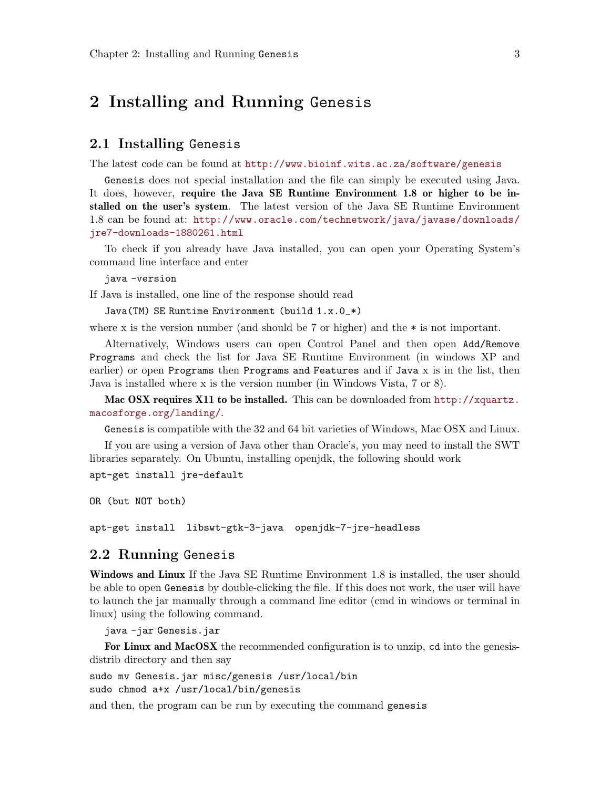## 2 Installing and Running Genesis

#### 2.1 Installing Genesis

The latest code can be found at <http://www.bioinf.wits.ac.za/software/genesis>

Genesis does not special installation and the file can simply be executed using Java. It does, however, require the Java SE Runtime Environment 1.8 or higher to be installed on the user's system. The latest version of the Java SE Runtime Environment 1.8 can be found at: [http://www.oracle.com/technetwork/java/javase/downloads/](http://www.oracle.com/technetwork/java/javase/downloads/jre7-downloads-1880261.html) [jre7-downloads-1880261.html](http://www.oracle.com/technetwork/java/javase/downloads/jre7-downloads-1880261.html)

To check if you already have Java installed, you can open your Operating System's command line interface and enter

java -version

If Java is installed, one line of the response should read

```
Java(TM) SE Runtime Environment (build 1.x.0_*)
```
where x is the version number (and should be 7 or higher) and the  $*$  is not important.

Alternatively, Windows users can open Control Panel and then open Add/Remove Programs and check the list for Java SE Runtime Environment (in windows XP and earlier) or open Programs then Programs and Features and if Java x is in the list, then Java is installed where x is the version number (in Windows Vista, 7 or 8).

Mac OSX requires X11 to be installed. This can be downloaded from [http://xquartz.](http://xquartz.macosforge.org/landing/) [macosforge.org/landing/](http://xquartz.macosforge.org/landing/).

Genesis is compatible with the 32 and 64 bit varieties of Windows, Mac OSX and Linux.

If you are using a version of Java other than Oracle's, you may need to install the SWT libraries separately. On Ubuntu, installing openjdk, the following should work

apt-get install jre-default

OR (but NOT both)

apt-get install libswt-gtk-3-java openjdk-7-jre-headless

#### 2.2 Running Genesis

Windows and Linux If the Java SE Runtime Environment 1.8 is installed, the user should be able to open Genesis by double-clicking the file. If this does not work, the user will have to launch the jar manually through a command line editor (cmd in windows or terminal in linux) using the following command.

java -jar Genesis.jar

For Linux and MacOSX the recommended configuration is to unzip, ed into the genesisdistrib directory and then say

sudo mv Genesis.jar misc/genesis /usr/local/bin sudo chmod a+x /usr/local/bin/genesis

and then, the program can be run by executing the command genesis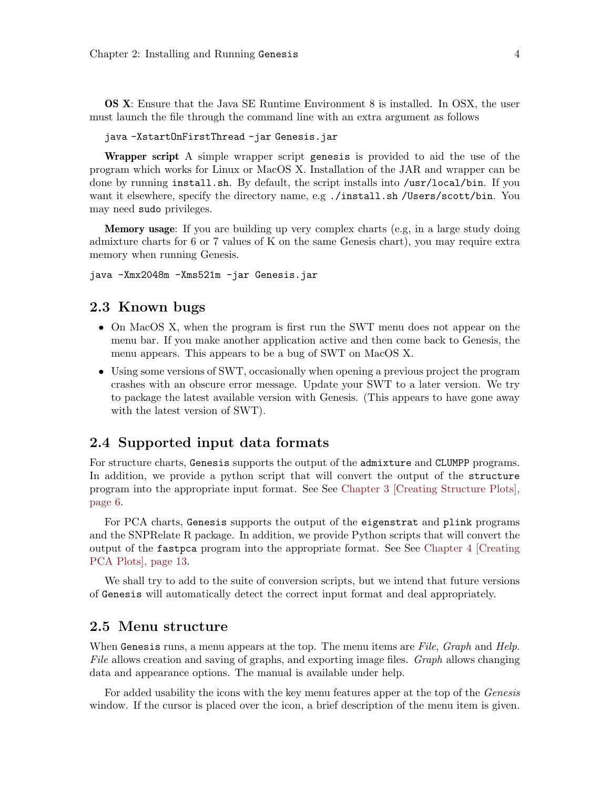OS X: Ensure that the Java SE Runtime Environment 8 is installed. In OSX, the user must launch the file through the command line with an extra argument as follows

```
java -XstartOnFirstThread -jar Genesis.jar
```
Wrapper script A simple wrapper script genesis is provided to aid the use of the program which works for Linux or MacOS X. Installation of the JAR and wrapper can be done by running install.sh. By default, the script installs into /usr/local/bin. If you want it elsewhere, specify the directory name, e.g ./install.sh /Users/scott/bin. You may need sudo privileges.

Memory usage: If you are building up very complex charts (e.g, in a large study doing admixture charts for 6 or 7 values of K on the same Genesis chart), you may require extra memory when running Genesis.

java -Xmx2048m -Xms521m -jar Genesis.jar

#### 2.3 Known bugs

- On MacOS X, when the program is first run the SWT menu does not appear on the menu bar. If you make another application active and then come back to Genesis, the menu appears. This appears to be a bug of SWT on MacOS X.
- Using some versions of SWT, occasionally when opening a previous project the program crashes with an obscure error message. Update your SWT to a later version. We try to package the latest available version with Genesis. (This appears to have gone away with the latest version of SWT).

#### 2.4 Supported input data formats

For structure charts, Genesis supports the output of the admixture and CLUMPP programs. In addition, we provide a python script that will convert the output of the structure program into the appropriate input format. See See [Chapter 3 \[Creating Structure Plots\],](#page-6-0) [page 6.](#page-6-0)

For PCA charts, Genesis supports the output of the eigenstrat and plink programs and the SNPRelate R package. In addition, we provide Python scripts that will convert the output of the fastpca program into the appropriate format. See See [Chapter 4 \[Creating](#page-13-0) [PCA Plots\], page 13.](#page-13-0)

We shall try to add to the suite of conversion scripts, but we intend that future versions of Genesis will automatically detect the correct input format and deal appropriately.

#### 2.5 Menu structure

When Genesis runs, a menu appears at the top. The menu items are File, Graph and Help. File allows creation and saving of graphs, and exporting image files. Graph allows changing data and appearance options. The manual is available under help.

For added usability the icons with the key menu features apper at the top of the Genesis window. If the cursor is placed over the icon, a brief description of the menu item is given.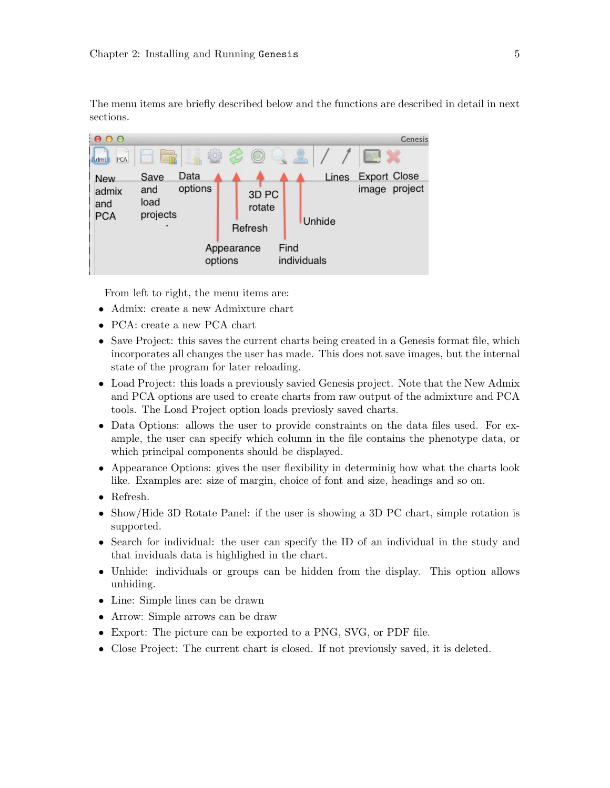The menu items are briefly described below and the functions are described in detail in next sections.

| $\Omega$                   |                                    |         |                                       |      |               |                     | Genesis |
|----------------------------|------------------------------------|---------|---------------------------------------|------|---------------|---------------------|---------|
| <b>PCA</b><br>Admix        | ۳<br>$\sqrt{1}$                    | $-503$  | (9)                                   |      |               |                     |         |
| <b>New</b>                 | Data<br>Save                       |         |                                       |      | <b>Lines</b>  | <b>Export Close</b> |         |
| admix<br>and<br><b>PCA</b> | options<br>and<br>load<br>projects |         | 3D <sub>PC</sub><br>rotate<br>Refresh |      | <b>Unhide</b> | image               | project |
|                            |                                    | options | Appearance                            | Find | individuals   |                     |         |

From left to right, the menu items are:

- Admix: create a new Admixture chart
- PCA: create a new PCA chart
- Save Project: this saves the current charts being created in a Genesis format file, which incorporates all changes the user has made. This does not save images, but the internal state of the program for later reloading.
- Load Project: this loads a previously savied Genesis project. Note that the New Admix and PCA options are used to create charts from raw output of the admixture and PCA tools. The Load Project option loads previosly saved charts.
- Data Options: allows the user to provide constraints on the data files used. For example, the user can specify which column in the file contains the phenotype data, or which principal components should be displayed.
- Appearance Options: gives the user flexibility in determinig how what the charts look like. Examples are: size of margin, choice of font and size, headings and so on.
- Refresh.
- Show/Hide 3D Rotate Panel: if the user is showing a 3D PC chart, simple rotation is supported.
- Search for individual: the user can specify the ID of an individual in the study and that inviduals data is highlighed in the chart.
- Unhide: individuals or groups can be hidden from the display. This option allows unhiding.
- Line: Simple lines can be drawn
- Arrow: Simple arrows can be draw
- Export: The picture can be exported to a PNG, SVG, or PDF file.
- Close Project: The current chart is closed. If not previously saved, it is deleted.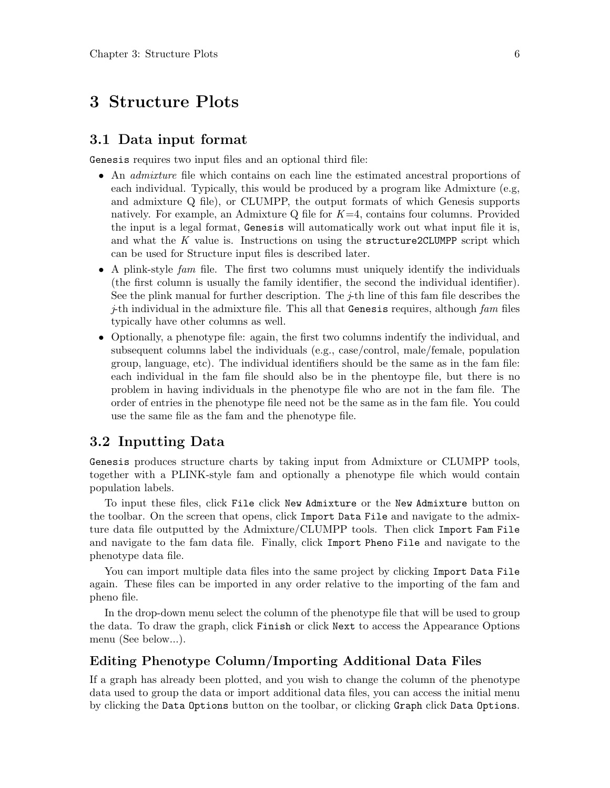## <span id="page-6-0"></span>3 Structure Plots

#### 3.1 Data input format

Genesis requires two input files and an optional third file:

- An admixture file which contains on each line the estimated ancestral proportions of each individual. Typically, this would be produced by a program like Admixture (e.g, and admixture Q file), or CLUMPP, the output formats of which Genesis supports natively. For example, an Admixture Q file for  $K=4$ , contains four columns. Provided the input is a legal format, Genesis will automatically work out what input file it is, and what the  $K$  value is. Instructions on using the structure 2CLUMPP script which can be used for Structure input files is described later.
- A plink-style fam file. The first two columns must uniquely identify the individuals (the first column is usually the family identifier, the second the individual identifier). See the plink manual for further description. The  $\dot{\tau}$ th line of this fam file describes the  $j$ -th individual in the admixture file. This all that Genesis requires, although  $fam$  files typically have other columns as well.
- Optionally, a phenotype file: again, the first two columns indentify the individual, and subsequent columns label the individuals (e.g., case/control, male/female, population group, language, etc). The individual identifiers should be the same as in the fam file: each individual in the fam file should also be in the phentoype file, but there is no problem in having individuals in the phenotype file who are not in the fam file. The order of entries in the phenotype file need not be the same as in the fam file. You could use the same file as the fam and the phenotype file.

#### 3.2 Inputting Data

Genesis produces structure charts by taking input from Admixture or CLUMPP tools, together with a PLINK-style fam and optionally a phenotype file which would contain population labels.

To input these files, click File click New Admixture or the New Admixture button on the toolbar. On the screen that opens, click Import Data File and navigate to the admixture data file outputted by the Admixture/CLUMPP tools. Then click Import Fam File and navigate to the fam data file. Finally, click Import Pheno File and navigate to the phenotype data file.

You can import multiple data files into the same project by clicking Import Data File again. These files can be imported in any order relative to the importing of the fam and pheno file.

In the drop-down menu select the column of the phenotype file that will be used to group the data. To draw the graph, click Finish or click Next to access the Appearance Options menu (See below...).

#### Editing Phenotype Column/Importing Additional Data Files

If a graph has already been plotted, and you wish to change the column of the phenotype data used to group the data or import additional data files, you can access the initial menu by clicking the Data Options button on the toolbar, or clicking Graph click Data Options.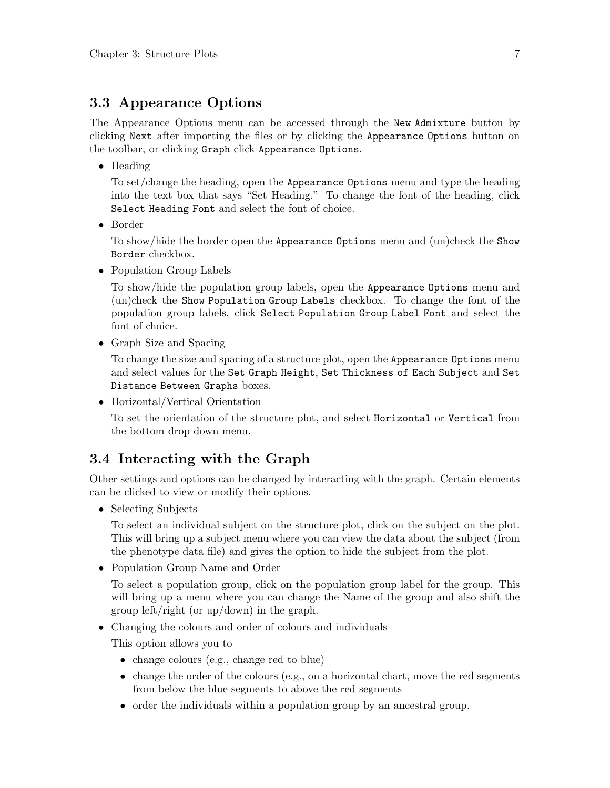### 3.3 Appearance Options

The Appearance Options menu can be accessed through the New Admixture button by clicking Next after importing the files or by clicking the Appearance Options button on the toolbar, or clicking Graph click Appearance Options.

• Heading

To set/change the heading, open the Appearance Options menu and type the heading into the text box that says "Set Heading." To change the font of the heading, click Select Heading Font and select the font of choice.

• Border

To show/hide the border open the Appearance Options menu and (un)check the Show Border checkbox.

• Population Group Labels

To show/hide the population group labels, open the Appearance Options menu and (un)check the Show Population Group Labels checkbox. To change the font of the population group labels, click Select Population Group Label Font and select the font of choice.

• Graph Size and Spacing

To change the size and spacing of a structure plot, open the Appearance Options menu and select values for the Set Graph Height, Set Thickness of Each Subject and Set Distance Between Graphs boxes.

• Horizontal/Vertical Orientation

To set the orientation of the structure plot, and select Horizontal or Vertical from the bottom drop down menu.

#### 3.4 Interacting with the Graph

Other settings and options can be changed by interacting with the graph. Certain elements can be clicked to view or modify their options.

• Selecting Subjects

To select an individual subject on the structure plot, click on the subject on the plot. This will bring up a subject menu where you can view the data about the subject (from the phenotype data file) and gives the option to hide the subject from the plot.

• Population Group Name and Order

To select a population group, click on the population group label for the group. This will bring up a menu where you can change the Name of the group and also shift the group left/right (or up/down) in the graph.

• Changing the colours and order of colours and individuals

This option allows you to

- change colours (e.g., change red to blue)
- $\bullet$  change the order of the colours (e.g., on a horizontal chart, move the red segments from below the blue segments to above the red segments
- order the individuals within a population group by an ancestral group.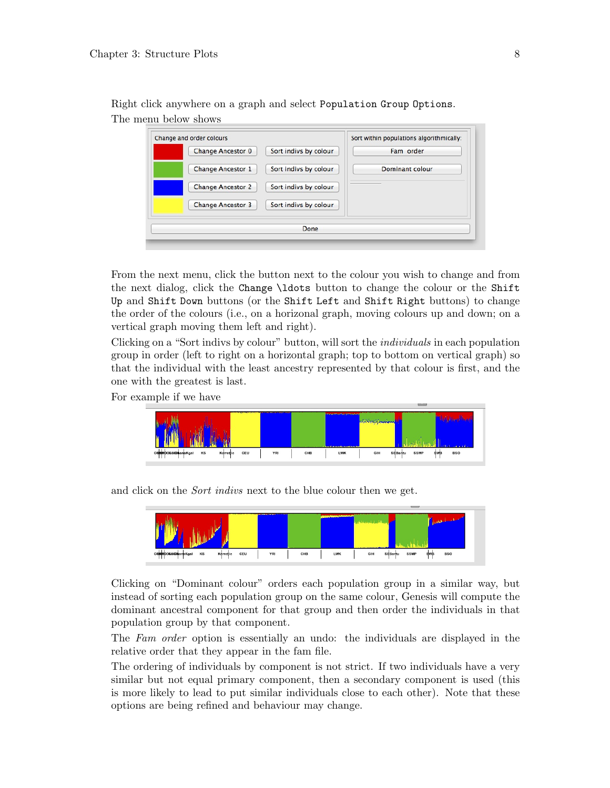| Change and order colours |                       | Sort within populations algorithmically: |
|--------------------------|-----------------------|------------------------------------------|
| <b>Change Ancestor 0</b> | Sort indivs by colour | Fam order                                |
| <b>Change Ancestor 1</b> | Sort indivs by colour | Dominant colour                          |
| <b>Change Ancestor 2</b> | Sort indivs by colour |                                          |
| <b>Change Ancestor 3</b> | Sort indivs by colour |                                          |
|                          | Done                  |                                          |

Right click anywhere on a graph and select Population Group Options. The menu below shows

From the next menu, click the button next to the colour you wish to change and from the next dialog, click the Change \ldots button to change the colour or the Shift Up and Shift Down buttons (or the Shift Left and Shift Right buttons) to change the order of the colours (i.e., on a horizonal graph, moving colours up and down; on a vertical graph moving them left and right).

Clicking on a "Sort indivs by colour" button, will sort the individuals in each population group in order (left to right on a horizontal graph; top to bottom on vertical graph) so that the individual with the least ancestry represented by that colour is first, and the one with the greatest is last.

For example if we have



and click on the Sort indivs next to the blue colour then we get.



Clicking on "Dominant colour" orders each population group in a similar way, but instead of sorting each population group on the same colour, Genesis will compute the dominant ancestral component for that group and then order the individuals in that population group by that component.

The Fam order option is essentially an undo: the individuals are displayed in the relative order that they appear in the fam file.

The ordering of individuals by component is not strict. If two individuals have a very similar but not equal primary component, then a secondary component is used (this is more likely to lead to put similar individuals close to each other). Note that these options are being refined and behaviour may change.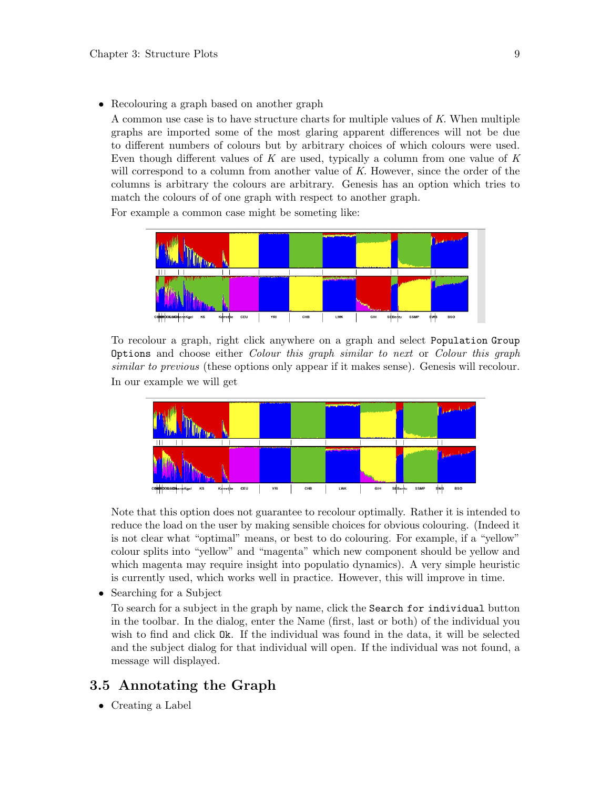• Recolouring a graph based on another graph

A common use case is to have structure charts for multiple values of K. When multiple graphs are imported some of the most glaring apparent differences will not be due to different numbers of colours but by arbitrary choices of which colours were used. Even though different values of  $K$  are used, typically a column from one value of  $K$ will correspond to a column from another value of  $K$ . However, since the order of the columns is arbitrary the colours are arbitrary. Genesis has an option which tries to match the colours of of one graph with respect to another graph.

For example a common case might be someting like:



To recolour a graph, right click anywhere on a graph and select Population Group Options and choose either Colour this graph similar to next or Colour this graph similar to previous (these options only appear if it makes sense). Genesis will recolour. In our example we will get



Note that this option does not guarantee to recolour optimally. Rather it is intended to reduce the load on the user by making sensible choices for obvious colouring. (Indeed it is not clear what "optimal" means, or best to do colouring. For example, if a "yellow" colour splits into "yellow" and "magenta" which new component should be yellow and which magenta may require insight into populatio dynamics). A very simple heuristic is currently used, which works well in practice. However, this will improve in time.

• Searching for a Subject

To search for a subject in the graph by name, click the Search for individual button in the toolbar. In the dialog, enter the Name (first, last or both) of the individual you wish to find and click Ok. If the individual was found in the data, it will be selected and the subject dialog for that individual will open. If the individual was not found, a message will displayed.

#### 3.5 Annotating the Graph

• Creating a Label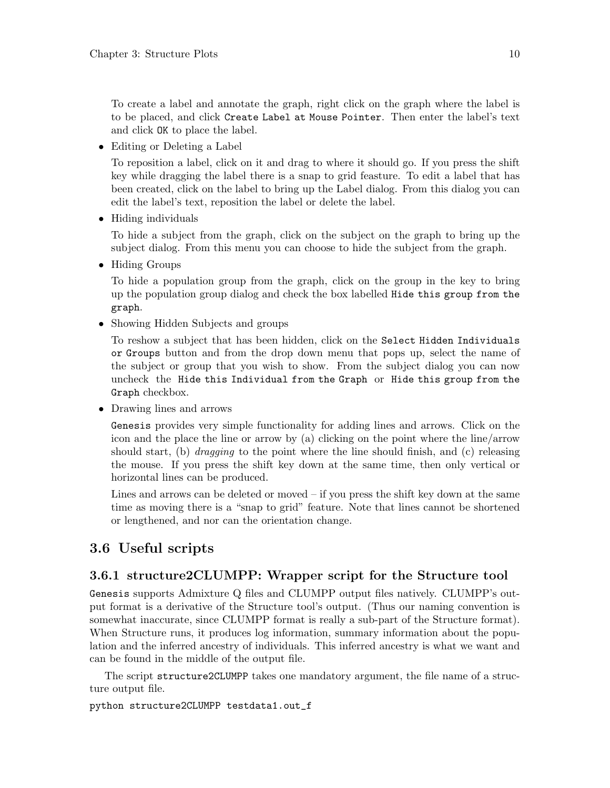To create a label and annotate the graph, right click on the graph where the label is to be placed, and click Create Label at Mouse Pointer. Then enter the label's text and click OK to place the label.

• Editing or Deleting a Label

To reposition a label, click on it and drag to where it should go. If you press the shift key while dragging the label there is a snap to grid feasture. To edit a label that has been created, click on the label to bring up the Label dialog. From this dialog you can edit the label's text, reposition the label or delete the label.

• Hiding individuals

To hide a subject from the graph, click on the subject on the graph to bring up the subject dialog. From this menu you can choose to hide the subject from the graph.

• Hiding Groups

To hide a population group from the graph, click on the group in the key to bring up the population group dialog and check the box labelled Hide this group from the graph.

• Showing Hidden Subjects and groups

To reshow a subject that has been hidden, click on the Select Hidden Individuals or Groups button and from the drop down menu that pops up, select the name of the subject or group that you wish to show. From the subject dialog you can now uncheck the Hide this Individual from the Graph or Hide this group from the Graph checkbox.

• Drawing lines and arrows

Genesis provides very simple functionality for adding lines and arrows. Click on the icon and the place the line or arrow by (a) clicking on the point where the line/arrow should start, (b) *dragging* to the point where the line should finish, and (c) releasing the mouse. If you press the shift key down at the same time, then only vertical or horizontal lines can be produced.

Lines and arrows can be deleted or moved – if you press the shift key down at the same time as moving there is a "snap to grid" feature. Note that lines cannot be shortened or lengthened, and nor can the orientation change.

#### 3.6 Useful scripts

#### 3.6.1 structure2CLUMPP: Wrapper script for the Structure tool

Genesis supports Admixture Q files and CLUMPP output files natively. CLUMPP's output format is a derivative of the Structure tool's output. (Thus our naming convention is somewhat inaccurate, since CLUMPP format is really a sub-part of the Structure format). When Structure runs, it produces log information, summary information about the population and the inferred ancestry of individuals. This inferred ancestry is what we want and can be found in the middle of the output file.

The script structure2CLUMPP takes one mandatory argument, the file name of a structure output file.

python structure2CLUMPP testdata1.out\_f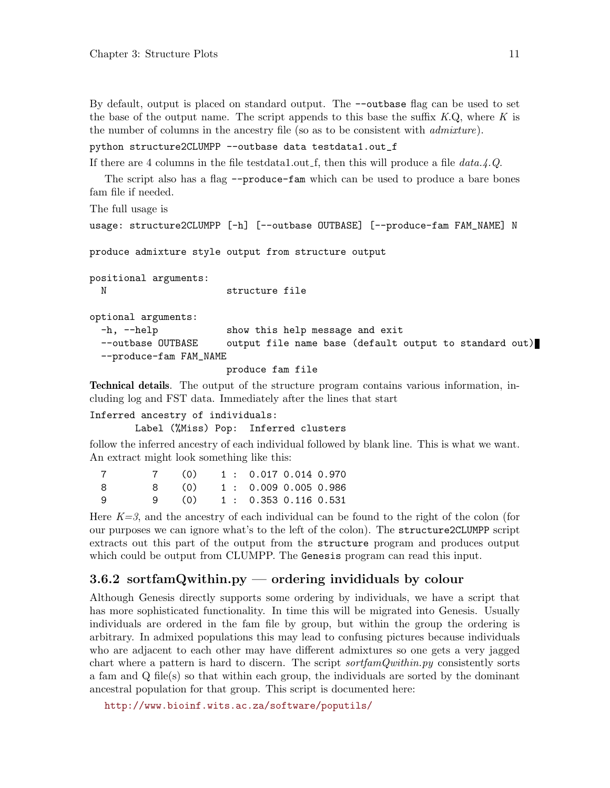By default, output is placed on standard output. The --outbase flag can be used to set the base of the output name. The script appends to this base the suffix  $K.Q$ , where K is the number of columns in the ancestry file (so as to be consistent with *admixture*).

python structure2CLUMPP --outbase data testdata1.out\_f

If there are 4 columns in the file testdata1.out f, then this will produce a file  $data.4.Q$ .

The script also has a flag --produce-fam which can be used to produce a bare bones fam file if needed.

The full usage is

```
usage: structure2CLUMPP [-h] [--outbase OUTBASE] [--produce-fam FAM_NAME] N
```
produce admixture style output from structure output

positional arguments: N structure file

optional arguments:

-h, --help show this help message and exit --outbase OUTBASE output file name base (default output to standard out) --produce-fam FAM\_NAME

produce fam file

Technical details. The output of the structure program contains various information, including log and FST data. Immediately after the lines that start

Inferred ancestry of individuals: Label (%Miss) Pop: Inferred clusters

follow the inferred ancestry of each individual followed by blank line. This is what we want. An extract might look something like this:

|    |     | 7 (0) 1: 0.017 0.014 0.970  |  |  |
|----|-----|-----------------------------|--|--|
| -8 | 8 - | $(0)$ 1 : 0.009 0.005 0.986 |  |  |
| -9 | 9   | $(0)$ 1 : 0.353 0.116 0.531 |  |  |

Here  $K=3$ , and the ancestry of each individual can be found to the right of the colon (for our purposes we can ignore what's to the left of the colon). The structure2CLUMPP script extracts out this part of the output from the structure program and produces output which could be output from CLUMPP. The Genesis program can read this input.

#### 3.6.2 sortfamQwithin.py — ordering invididuals by colour

Although Genesis directly supports some ordering by individuals, we have a script that has more sophisticated functionality. In time this will be migrated into Genesis. Usually individuals are ordered in the fam file by group, but within the group the ordering is arbitrary. In admixed populations this may lead to confusing pictures because individuals who are adjacent to each other may have different admixtures so one gets a very jagged chart where a pattern is hard to discern. The script  $\text{sortfamQwithin.py}$  consistently sorts a fam and Q file(s) so that within each group, the individuals are sorted by the dominant ancestral population for that group. This script is documented here:

<http://www.bioinf.wits.ac.za/software/poputils/>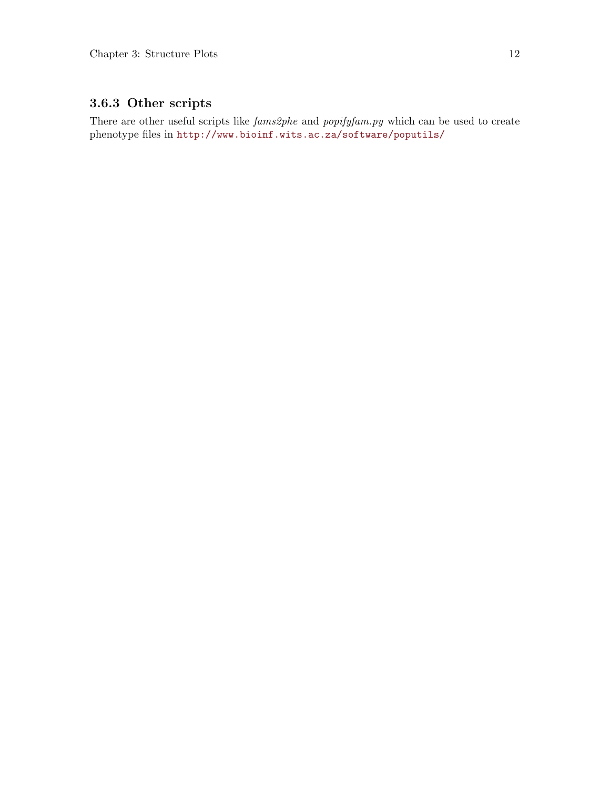## 3.6.3 Other scripts

There are other useful scripts like  $fams2phe$  and  $popifyfam.py$  which can be used to create phenotype files in <http://www.bioinf.wits.ac.za/software/poputils/>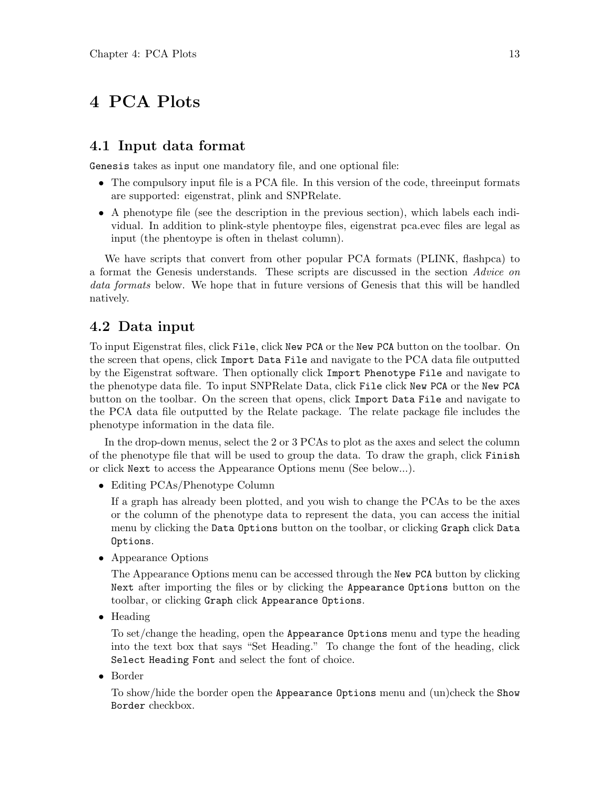## <span id="page-13-0"></span>4 PCA Plots

#### 4.1 Input data format

Genesis takes as input one mandatory file, and one optional file:

- The compulsory input file is a PCA file. In this version of the code, threeinput formats are supported: eigenstrat, plink and SNPRelate.
- A phenotype file (see the description in the previous section), which labels each individual. In addition to plink-style phentoype files, eigenstrat pca.evec files are legal as input (the phentoype is often in thelast column).

We have scripts that convert from other popular PCA formats (PLINK, flashpca) to a format the Genesis understands. These scripts are discussed in the section Advice on data formats below. We hope that in future versions of Genesis that this will be handled natively.

#### 4.2 Data input

To input Eigenstrat files, click File, click New PCA or the New PCA button on the toolbar. On the screen that opens, click Import Data File and navigate to the PCA data file outputted by the Eigenstrat software. Then optionally click Import Phenotype File and navigate to the phenotype data file. To input SNPRelate Data, click File click New PCA or the New PCA button on the toolbar. On the screen that opens, click Import Data File and navigate to the PCA data file outputted by the Relate package. The relate package file includes the phenotype information in the data file.

In the drop-down menus, select the 2 or 3 PCAs to plot as the axes and select the column of the phenotype file that will be used to group the data. To draw the graph, click Finish or click Next to access the Appearance Options menu (See below...).

• Editing PCAs/Phenotype Column

If a graph has already been plotted, and you wish to change the PCAs to be the axes or the column of the phenotype data to represent the data, you can access the initial menu by clicking the Data Options button on the toolbar, or clicking Graph click Data Options.

• Appearance Options

The Appearance Options menu can be accessed through the New PCA button by clicking Next after importing the files or by clicking the Appearance Options button on the toolbar, or clicking Graph click Appearance Options.

• Heading

To set/change the heading, open the Appearance Options menu and type the heading into the text box that says "Set Heading." To change the font of the heading, click Select Heading Font and select the font of choice.

• Border

To show/hide the border open the Appearance Options menu and (un)check the Show Border checkbox.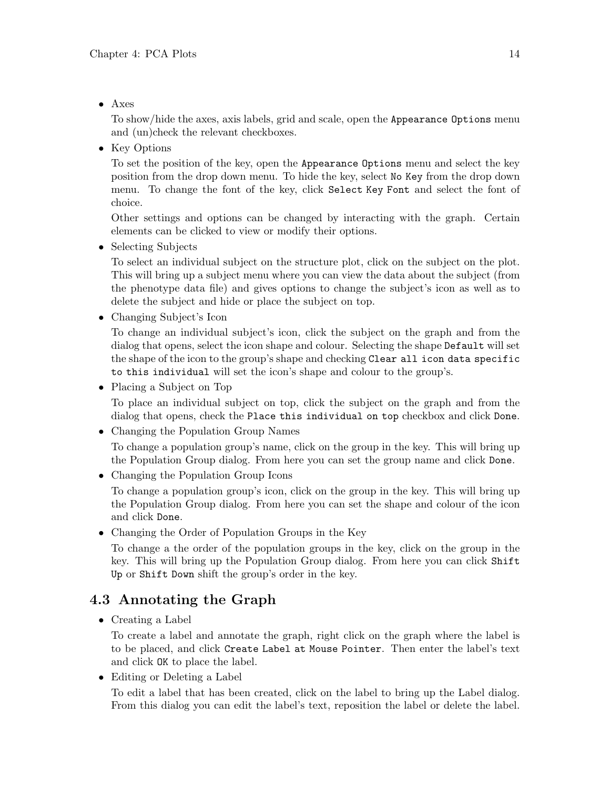• Axes

To show/hide the axes, axis labels, grid and scale, open the Appearance Options menu and (un)check the relevant checkboxes.

• Key Options

To set the position of the key, open the Appearance Options menu and select the key position from the drop down menu. To hide the key, select No Key from the drop down menu. To change the font of the key, click Select Key Font and select the font of choice.

Other settings and options can be changed by interacting with the graph. Certain elements can be clicked to view or modify their options.

• Selecting Subjects

To select an individual subject on the structure plot, click on the subject on the plot. This will bring up a subject menu where you can view the data about the subject (from the phenotype data file) and gives options to change the subject's icon as well as to delete the subject and hide or place the subject on top.

• Changing Subject's Icon

To change an individual subject's icon, click the subject on the graph and from the dialog that opens, select the icon shape and colour. Selecting the shape Default will set the shape of the icon to the group's shape and checking Clear all icon data specific to this individual will set the icon's shape and colour to the group's.

• Placing a Subject on Top

To place an individual subject on top, click the subject on the graph and from the dialog that opens, check the Place this individual on top checkbox and click Done.

• Changing the Population Group Names

To change a population group's name, click on the group in the key. This will bring up the Population Group dialog. From here you can set the group name and click Done.

• Changing the Population Group Icons

To change a population group's icon, click on the group in the key. This will bring up the Population Group dialog. From here you can set the shape and colour of the icon and click Done.

• Changing the Order of Population Groups in the Key

To change a the order of the population groups in the key, click on the group in the key. This will bring up the Population Group dialog. From here you can click Shift Up or Shift Down shift the group's order in the key.

## 4.3 Annotating the Graph

• Creating a Label

To create a label and annotate the graph, right click on the graph where the label is to be placed, and click Create Label at Mouse Pointer. Then enter the label's text and click OK to place the label.

• Editing or Deleting a Label

To edit a label that has been created, click on the label to bring up the Label dialog. From this dialog you can edit the label's text, reposition the label or delete the label.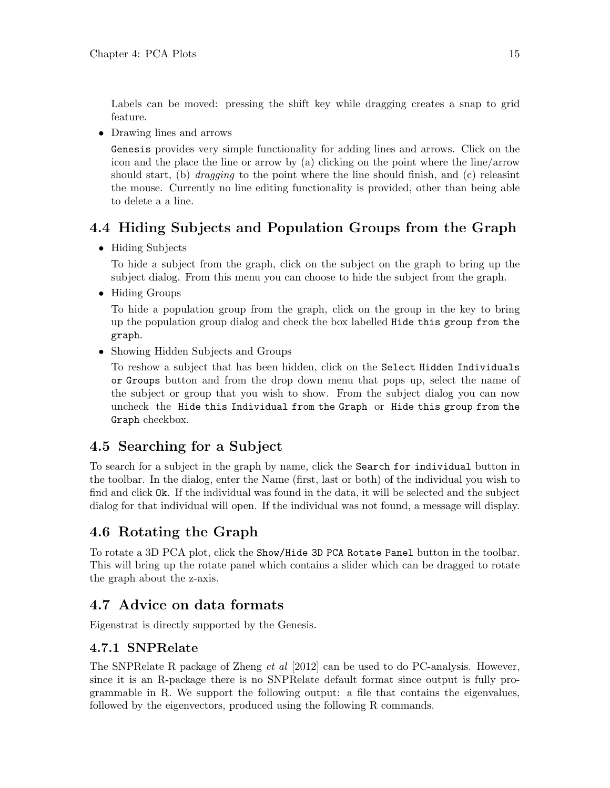Labels can be moved: pressing the shift key while dragging creates a snap to grid feature.

• Drawing lines and arrows

Genesis provides very simple functionality for adding lines and arrows. Click on the icon and the place the line or arrow by (a) clicking on the point where the line/arrow should start, (b) *dragging* to the point where the line should finish, and (c) releasint the mouse. Currently no line editing functionality is provided, other than being able to delete a a line.

## 4.4 Hiding Subjects and Population Groups from the Graph

• Hiding Subjects

To hide a subject from the graph, click on the subject on the graph to bring up the subject dialog. From this menu you can choose to hide the subject from the graph.

• Hiding Groups

To hide a population group from the graph, click on the group in the key to bring up the population group dialog and check the box labelled Hide this group from the graph.

• Showing Hidden Subjects and Groups

To reshow a subject that has been hidden, click on the Select Hidden Individuals or Groups button and from the drop down menu that pops up, select the name of the subject or group that you wish to show. From the subject dialog you can now uncheck the Hide this Individual from the Graph or Hide this group from the Graph checkbox.

## 4.5 Searching for a Subject

To search for a subject in the graph by name, click the Search for individual button in the toolbar. In the dialog, enter the Name (first, last or both) of the individual you wish to find and click Ok. If the individual was found in the data, it will be selected and the subject dialog for that individual will open. If the individual was not found, a message will display.

## 4.6 Rotating the Graph

To rotate a 3D PCA plot, click the Show/Hide 3D PCA Rotate Panel button in the toolbar. This will bring up the rotate panel which contains a slider which can be dragged to rotate the graph about the z-axis.

## 4.7 Advice on data formats

Eigenstrat is directly supported by the Genesis.

#### 4.7.1 SNPRelate

The SNPRelate R package of Zheng *et al* [2012] can be used to do PC-analysis. However, since it is an R-package there is no SNPRelate default format since output is fully programmable in R. We support the following output: a file that contains the eigenvalues, followed by the eigenvectors, produced using the following R commands.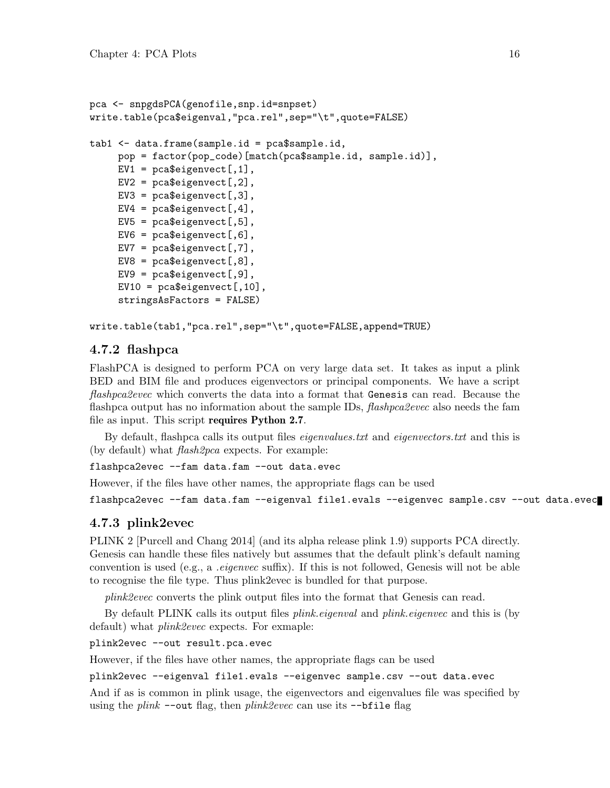```
pca <- snpgdsPCA(genofile,snp.id=snpset)
write.table(pca$eigenval,"pca.rel",sep="\t",quote=FALSE)
tab1 <- data.frame(sample.id = pca$sample.id,
    pop = factor(pop_code)[match(pca$sample.id, sample.id)],
    EV1 = pca\eigenvect[,1],
    EV2 = pca$eigenvect[, 2],EV3 = pca$eigenvect[, 3],EV4 = pca\eigenvect[,4],
    EV5 = pca$eigenvect[, 5],EV6 = pca\eigenvect[,6],
    EV7 = pca\genvect[,7],
    EV8 = pca\eigenvect[0, 8],
    EV9 = pca$eigenvect[, 9],EV10 = pca\eigenvect[,10],
     stringsAsFactors = FALSE)
```
write.table(tab1,"pca.rel",sep="\t",quote=FALSE,append=TRUE)

#### 4.7.2 flashpca

FlashPCA is designed to perform PCA on very large data set. It takes as input a plink BED and BIM file and produces eigenvectors or principal components. We have a script flashpca2evec which converts the data into a format that Genesis can read. Because the flashpca output has no information about the sample IDs, *flashpca2evec* also needs the fam file as input. This script requires Python 2.7.

By default, flashpca calls its output files *eigenvalues.txt* and *eigenvectors.txt* and this is (by default) what flash2pca expects. For example:

flashpca2evec --fam data.fam --out data.evec

However, if the files have other names, the appropriate flags can be used

```
flashpca2evec --fam data.fam --eigenval file1.evals --eigenvec sample.csv --out data.evec
```
#### 4.7.3 plink2evec

PLINK 2 [Purcell and Chang 2014] (and its alpha release plink 1.9) supports PCA directly. Genesis can handle these files natively but assumes that the default plink's default naming convention is used (e.g., a .eigenvec suffix). If this is not followed, Genesis will not be able to recognise the file type. Thus plink2evec is bundled for that purpose.

plink2evec converts the plink output files into the format that Genesis can read.

By default PLINK calls its output files plink.eigenval and plink.eigenvec and this is (by default) what *plink2evec* expects. For exmaple:

plink2evec --out result.pca.evec

However, if the files have other names, the appropriate flags can be used

plink2evec --eigenval file1.evals --eigenvec sample.csv --out data.evec

And if as is common in plink usage, the eigenvectors and eigenvalues file was specified by using the plink  $--$ out flag, then plink2evec can use its  $--$ bfile flag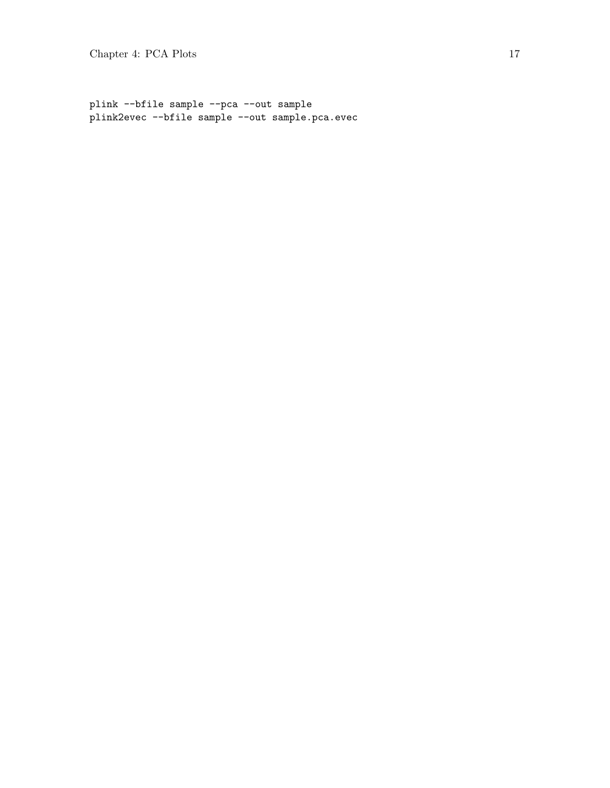plink --bfile sample --pca --out sample plink2evec --bfile sample --out sample.pca.evec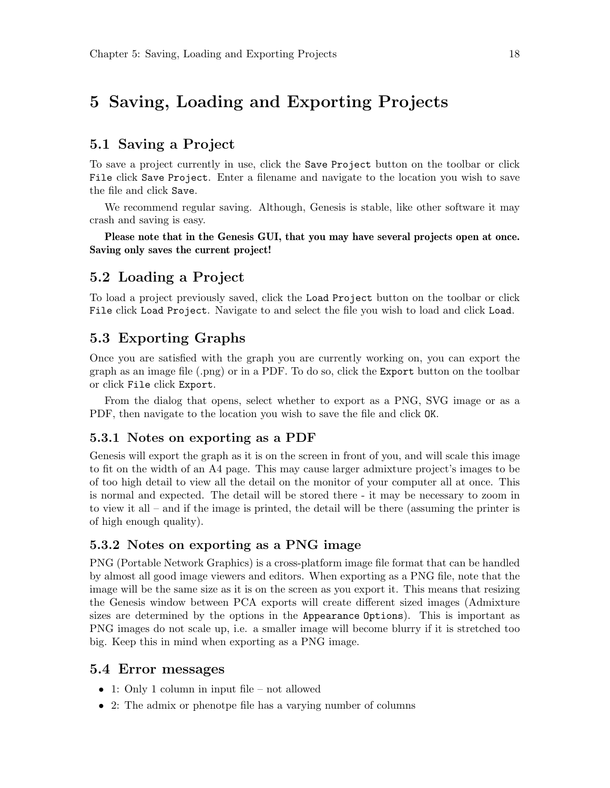## 5 Saving, Loading and Exporting Projects

### 5.1 Saving a Project

To save a project currently in use, click the Save Project button on the toolbar or click File click Save Project. Enter a filename and navigate to the location you wish to save the file and click Save.

We recommend regular saving. Although, Genesis is stable, like other software it may crash and saving is easy.

Please note that in the Genesis GUI, that you may have several projects open at once. Saving only saves the current project!

#### 5.2 Loading a Project

To load a project previously saved, click the Load Project button on the toolbar or click File click Load Project. Navigate to and select the file you wish to load and click Load.

#### 5.3 Exporting Graphs

Once you are satisfied with the graph you are currently working on, you can export the graph as an image file (.png) or in a PDF. To do so, click the Export button on the toolbar or click File click Export.

From the dialog that opens, select whether to export as a PNG, SVG image or as a PDF, then navigate to the location you wish to save the file and click OK.

#### 5.3.1 Notes on exporting as a PDF

Genesis will export the graph as it is on the screen in front of you, and will scale this image to fit on the width of an A4 page. This may cause larger admixture project's images to be of too high detail to view all the detail on the monitor of your computer all at once. This is normal and expected. The detail will be stored there - it may be necessary to zoom in to view it all – and if the image is printed, the detail will be there (assuming the printer is of high enough quality).

#### 5.3.2 Notes on exporting as a PNG image

PNG (Portable Network Graphics) is a cross-platform image file format that can be handled by almost all good image viewers and editors. When exporting as a PNG file, note that the image will be the same size as it is on the screen as you export it. This means that resizing the Genesis window between PCA exports will create different sized images (Admixture sizes are determined by the options in the Appearance Options). This is important as PNG images do not scale up, i.e. a smaller image will become blurry if it is stretched too big. Keep this in mind when exporting as a PNG image.

#### 5.4 Error messages

- 1: Only 1 column in input file not allowed
- 2: The admix or phenotpe file has a varying number of columns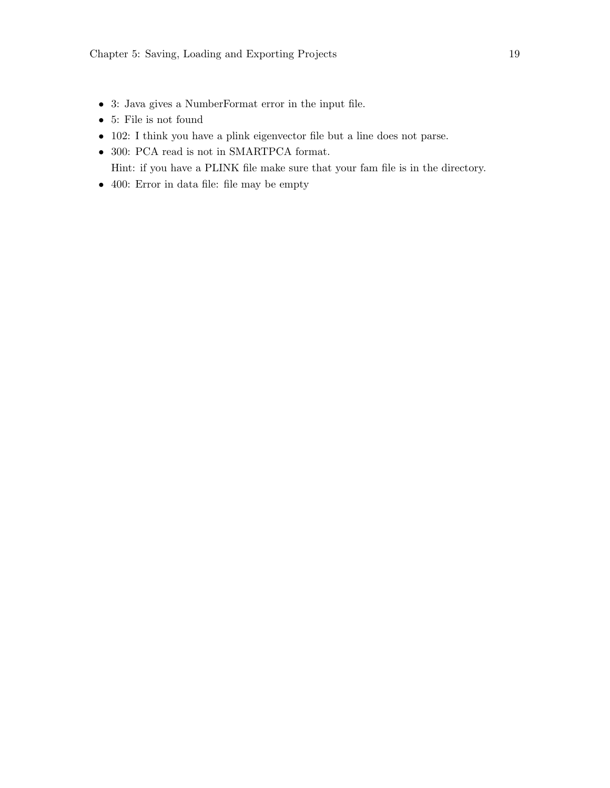- 3: Java gives a NumberFormat error in the input file.
- 5: File is not found
- 102: I think you have a plink eigenvector file but a line does not parse.
- $\bullet~$  300: PCA read is not in SMARTPCA format. Hint: if you have a PLINK file make sure that your fam file is in the directory.
- 400: Error in data file: file may be empty